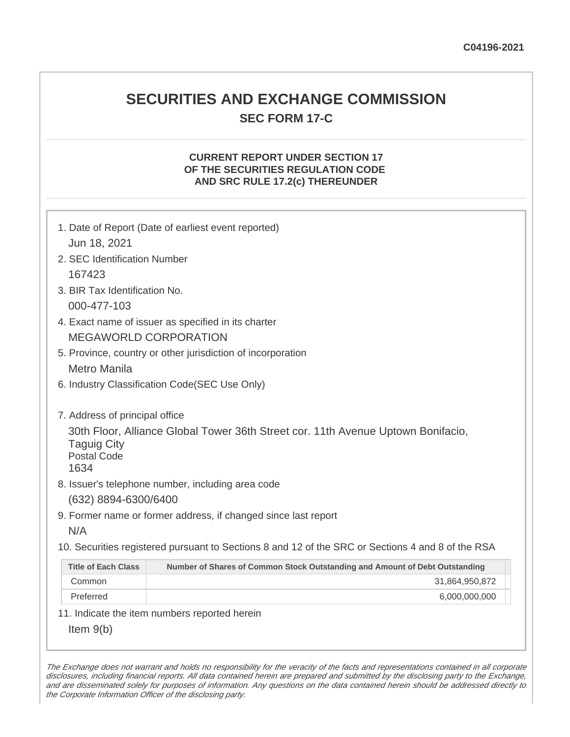## **SECURITIES AND EXCHANGE COMMISSION SEC FORM 17-C**

#### **CURRENT REPORT UNDER SECTION 17 OF THE SECURITIES REGULATION CODE AND SRC RULE 17.2(c) THEREUNDER**

| 1. Date of Report (Date of earliest event reported)<br>Jun 18, 2021                                                                  |                                                                             |
|--------------------------------------------------------------------------------------------------------------------------------------|-----------------------------------------------------------------------------|
| 2. SEC Identification Number                                                                                                         |                                                                             |
| 167423                                                                                                                               |                                                                             |
| 3. BIR Tax Identification No.                                                                                                        |                                                                             |
| 000-477-103                                                                                                                          |                                                                             |
| 4. Exact name of issuer as specified in its charter                                                                                  |                                                                             |
| <b>MEGAWORLD CORPORATION</b>                                                                                                         |                                                                             |
| 5. Province, country or other jurisdiction of incorporation                                                                          |                                                                             |
| <b>Metro Manila</b>                                                                                                                  |                                                                             |
| 6. Industry Classification Code(SEC Use Only)                                                                                        |                                                                             |
|                                                                                                                                      |                                                                             |
| 7. Address of principal office                                                                                                       |                                                                             |
| 30th Floor, Alliance Global Tower 36th Street cor. 11th Avenue Uptown Bonifacio,<br><b>Taguig City</b><br><b>Postal Code</b><br>1634 |                                                                             |
| 8. Issuer's telephone number, including area code                                                                                    |                                                                             |
| (632) 8894-6300/6400                                                                                                                 |                                                                             |
| 9. Former name or former address, if changed since last report                                                                       |                                                                             |
| N/A                                                                                                                                  |                                                                             |
| 10. Securities registered pursuant to Sections 8 and 12 of the SRC or Sections 4 and 8 of the RSA                                    |                                                                             |
| <b>Title of Each Class</b>                                                                                                           | Number of Shares of Common Stock Outstanding and Amount of Debt Outstanding |
| Common                                                                                                                               | 31,864,950,872                                                              |
| Preferred                                                                                                                            | 6,000,000,000                                                               |
| 11. Indicate the item numbers reported herein                                                                                        |                                                                             |
| Item $9(b)$                                                                                                                          |                                                                             |

The Exchange does not warrant and holds no responsibility for the veracity of the facts and representations contained in all corporate disclosures, including financial reports. All data contained herein are prepared and submitted by the disclosing party to the Exchange, and are disseminated solely for purposes of information. Any questions on the data contained herein should be addressed directly to the Corporate Information Officer of the disclosing party.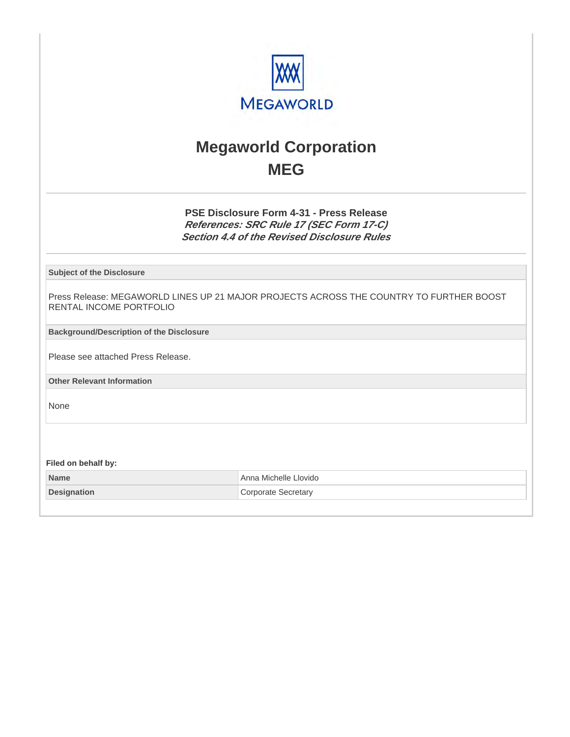

# **Megaworld Corporation MEG**

**PSE Disclosure Form 4-31 - Press Release References: SRC Rule 17 (SEC Form 17-C) Section 4.4 of the Revised Disclosure Rules**

**Subject of the Disclosure**

Press Release: MEGAWORLD LINES UP 21 MAJOR PROJECTS ACROSS THE COUNTRY TO FURTHER BOOST RENTAL INCOME PORTFOLIO

**Background/Description of the Disclosure**

Please see attached Press Release.

**Other Relevant Information**

None

**Filed on behalf by:**

**Name** Anna Michelle Llovido **Designation Corporate Secretary**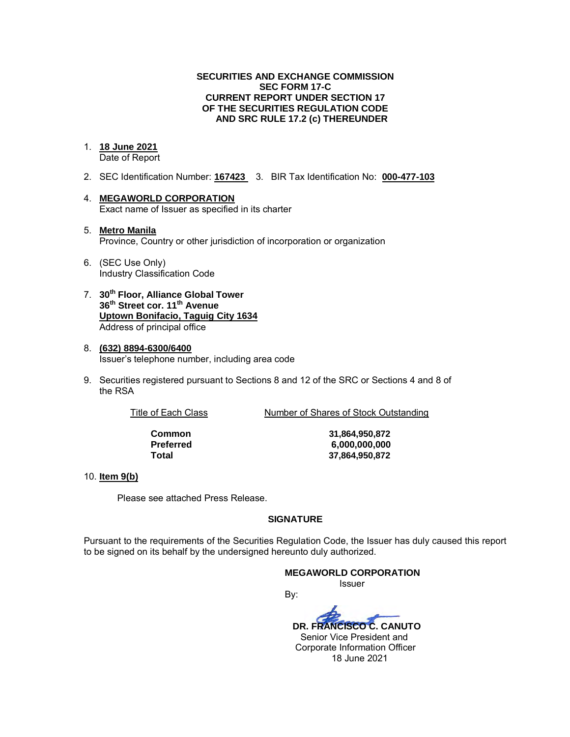#### **SECURITIES AND EXCHANGE COMMISSION SEC FORM 17-C CURRENT REPORT UNDER SECTION 17 OF THE SECURITIES REGULATION CODE AND SRC RULE 17.2 (c) THEREUNDER**

#### 1. **18 June 2021**

Date of Report

- 2. SEC Identification Number: **167423** 3. BIR Tax Identification No: **000-477-103**
- 4. **MEGAWORLD CORPORATION**  Exact name of Issuer as specified in its charter
- 5. **Metro Manila** Province, Country or other jurisdiction of incorporation or organization
- 6. (SEC Use Only) Industry Classification Code
- 7. **30th Floor, Alliance Global Tower 36th Street cor. 11th Avenue Uptown Bonifacio, Taguig City 1634** Address of principal office
- 8. **(632) 8894-6300/6400**  Issuer's telephone number, including area code
- 9. Securities registered pursuant to Sections 8 and 12 of the SRC or Sections 4 and 8 of the RSA

Title of Each Class Number of Shares of Stock Outstanding

**Common 31,864,950,872 Preferred 6,000,000,000 Total 37,864,950,872**

#### 10. **Item 9(b)**

Please see attached Press Release.

#### **SIGNATURE**

Pursuant to the requirements of the Securities Regulation Code, the Issuer has duly caused this report to be signed on its behalf by the undersigned hereunto duly authorized.

#### **MEGAWORLD CORPORATION**

*ISSUER AND RESIDENT CONTINUES* 

By:  **DR. FRANCISCO C. CANUTO**  Senior Vice President and Corporate Information Officer 18 June 2021